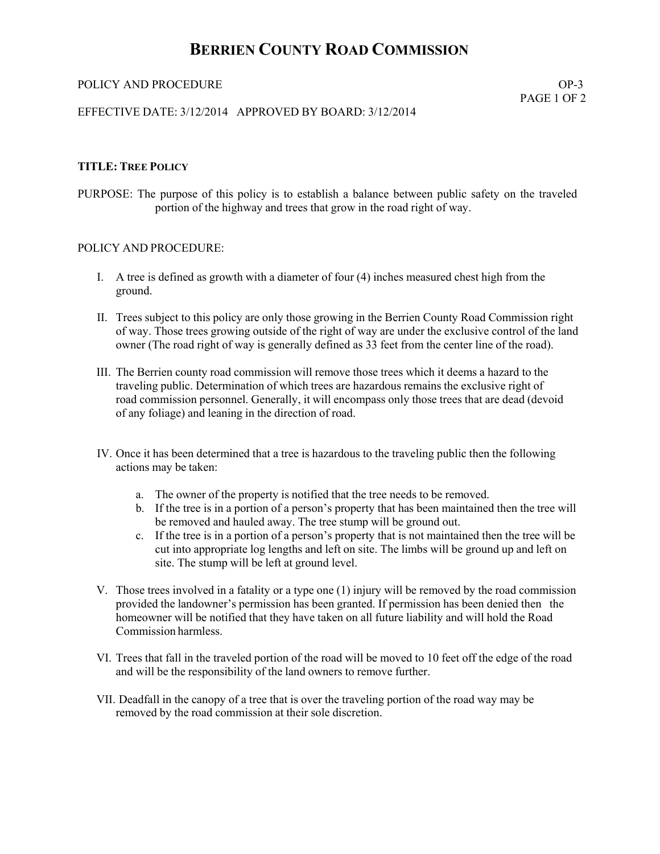## **BERRIEN COUNTY ROAD COMMISSION**

#### POLICY AND PROCEDURE  $OP-3$

PAGE 1 OF 2

#### EFFECTIVE DATE: 3/12/2014 APPROVED BY BOARD: 3/12/2014

#### **TITLE: TREE POLICY**

PURPOSE: The purpose of this policy is to establish a balance between public safety on the traveled portion of the highway and trees that grow in the road right of way.

#### POLICY AND PROCEDURE:

- I. A tree is defined as growth with a diameter of four (4) inches measured chest high from the ground.
- II. Trees subject to this policy are only those growing in the Berrien County Road Commission right of way. Those trees growing outside of the right of way are under the exclusive control of the land owner (The road right of way is generally defined as 33 feet from the center line of the road).
- III. The Berrien county road commission will remove those trees which it deems a hazard to the traveling public. Determination of which trees are hazardous remains the exclusive right of road commission personnel. Generally, it will encompass only those trees that are dead (devoid of any foliage) and leaning in the direction of road.
- IV. Once it has been determined that a tree is hazardous to the traveling public then the following actions may be taken:
	- a. The owner of the property is notified that the tree needs to be removed.
	- b. If the tree is in a portion of a person's property that has been maintained then the tree will be removed and hauled away. The tree stump will be ground out.
	- c. If the tree is in a portion of a person's property that is not maintained then the tree will be cut into appropriate log lengths and left on site. The limbs will be ground up and left on site. The stump will be left at ground level.
- V. Those trees involved in a fatality or a type one (1) injury will be removed by the road commission provided the landowner's permission has been granted. If permission has been denied then the homeowner will be notified that they have taken on all future liability and will hold the Road Commission harmless.
- VI. Trees that fall in the traveled portion of the road will be moved to 10 feet off the edge of the road and will be the responsibility of the land owners to remove further.
- VII. Deadfall in the canopy of a tree that is over the traveling portion of the road way may be removed by the road commission at their sole discretion.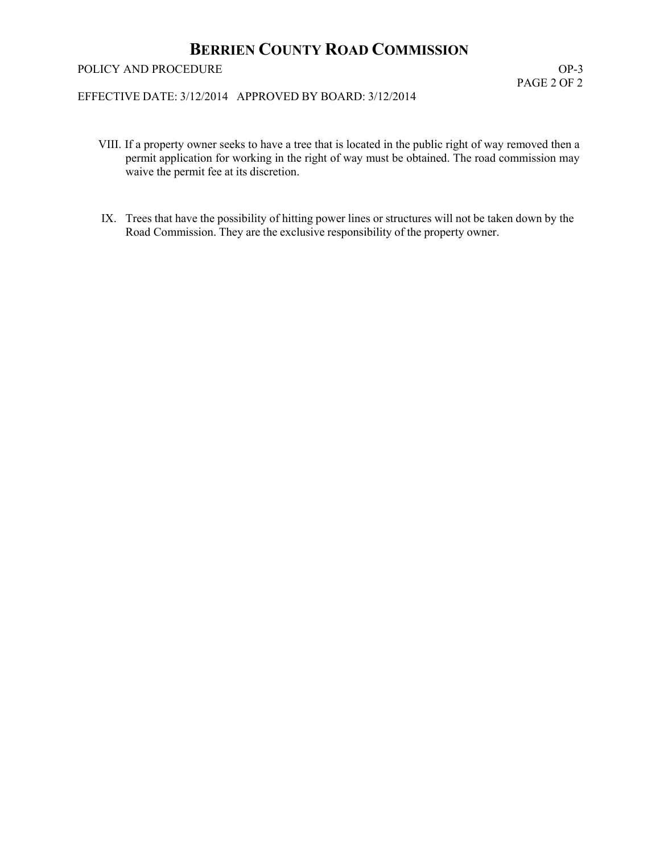# **BERRIEN COUNTY ROAD COMMISSION**

### POLICY AND PROCEDURE  $OP-3$

## EFFECTIVE DATE: 3/12/2014 APPROVED BY BOARD: 3/12/2014

- VIII. If a property owner seeks to have a tree that is located in the public right of way removed then a permit application for working in the right of way must be obtained. The road commission may waive the permit fee at its discretion.
- IX. Trees that have the possibility of hitting power lines or structures will not be taken down by the Road Commission. They are the exclusive responsibility of the property owner.